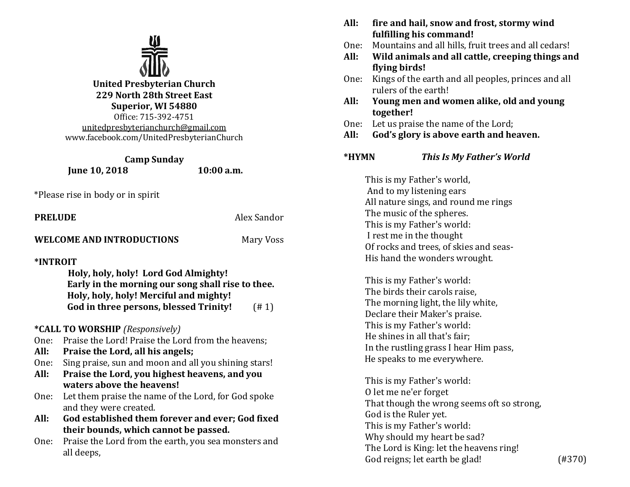

**United Presbyterian Church 229 North 28th Street East Superior, WI 54880** Office: 715-392-4751 [unitedpresbyterianchurch@gmail.com](mailto:unitedpresbyterianchurch@gmail.com) www.facebook.com/UnitedPresbyterianChurch

**Camp Sunday Iune 10, 2018** 10:00 a.m.

\*Please rise in body or in spirit

| <b>PRELUDE</b> | Alex Sandor |  |
|----------------|-------------|--|
|                |             |  |

## **WELCOME AND INTRODUCTIONS** Mary Voss

**\*INTROIT** 

| Holy, holy, holy! Lord God Almighty!              |       |
|---------------------------------------------------|-------|
| Early in the morning our song shall rise to thee. |       |
| Holy, holy, holy! Merciful and mighty!            |       |
| God in three persons, blessed Trinity!            | (# 1) |

# **\*CALL TO WORSHIP** *(Responsively)*

- One: Praise the Lord! Praise the Lord from the heavens;
- **All: Praise the Lord, all his angels;**
- One: Sing praise, sun and moon and all you shining stars!
- **All: Praise the Lord, you highest heavens, and you waters above the heavens!**
- One: Let them praise the name of the Lord, for God spoke and they were created.
- **All: God established them forever and ever; God fixed their bounds, which cannot be passed.**
- One: Praise the Lord from the earth, you sea monsters and all deeps,
- **All: fire and hail, snow and frost, stormy wind fulfilling his command!**
- One: Mountains and all hills, fruit trees and all cedars!
- **All: Wild animals and all cattle, creeping things and flying birds!**
- One: Kings of the earth and all peoples, princes and all rulers of the earth!
- **All: Young men and women alike, old and young together!**
- One: Let us praise the name of the Lord;
- **All: God's glory is above earth and heaven.**

# **\*HYMN** *This Is My Father's World*

This is my Father's world, And to my listening ears All nature sings, and round me rings The music of the spheres. This is my Father's world: I rest me in the thought Of rocks and trees, of skies and seas-His hand the wonders wrought.

This is my Father's world: The birds their carols raise, The morning light, the lily white, Declare their Maker's praise. This is my Father's world: He shines in all that's fair; In the rustling grass I hear Him pass, He speaks to me everywhere.

This is my Father's world: O let me ne'er forget That though the wrong seems oft so strong, God is the Ruler yet. This is my Father's world: Why should my heart be sad? The Lord is King: let the heavens ring! God reigns; let earth be glad! (#370)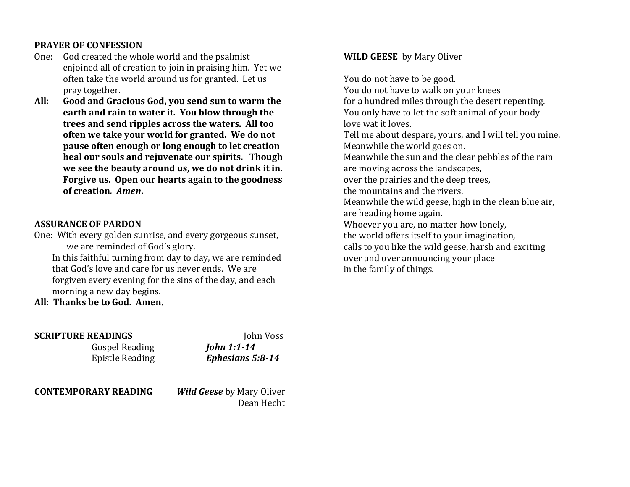## **PRAYER OF CONFESSION**

- One: God created the whole world and the psalmist enjoined all of creation to join in praising him. Yet we often take the world around us for granted. Let us pray together.
- **All: Good and Gracious God, you send sun to warm the earth and rain to water it. You blow through the trees and send ripples across the waters. All too often we take your world for granted. We do not pause often enough or long enough to let creation heal our souls and rejuvenate our spirits. Though we see the beauty around us, we do not drink it in. Forgive us. Open our hearts again to the goodness of creation***. Amen***.**

## **ASSURANCE OF PARDON**

One: With every golden sunrise, and every gorgeous sunset, we are reminded of God's glory.

In this faithful turning from day to day, we are reminded that God's love and care for us never ends. We are forgiven every evening for the sins of the day, and each morning a new day begins.

**All: Thanks be to God. Amen.**

| <b>SCRIPTURE READINGS</b>   | John Voss                                             |
|-----------------------------|-------------------------------------------------------|
| <b>Gospel Reading</b>       | <b>John 1:1-14</b>                                    |
| <b>Epistle Reading</b>      | Ephesians 5:8-14                                      |
| <b>CONTEMPORARY READING</b> | <b><i>Wild Geese</i></b> by Mary Oliver<br>Dean Hecht |

## **WILD GEESE** by Mary Oliver

You do not have to be good. You do not have to walk on your knees for a hundred miles through the desert repenting. You only have to let the soft animal of your body love wat it loves. Tell me about despare, yours, and I will tell you mine. Meanwhile the world goes on. Meanwhile the sun and the clear pebbles of the rain are moving across the landscapes, over the prairies and the deep trees, the mountains and the rivers. Meanwhile the wild geese, high in the clean blue air, are heading home again. Whoever you are, no matter how lonely, the world offers itself to your imagination, calls to you like the wild geese, harsh and exciting over and over announcing your place in the family of things.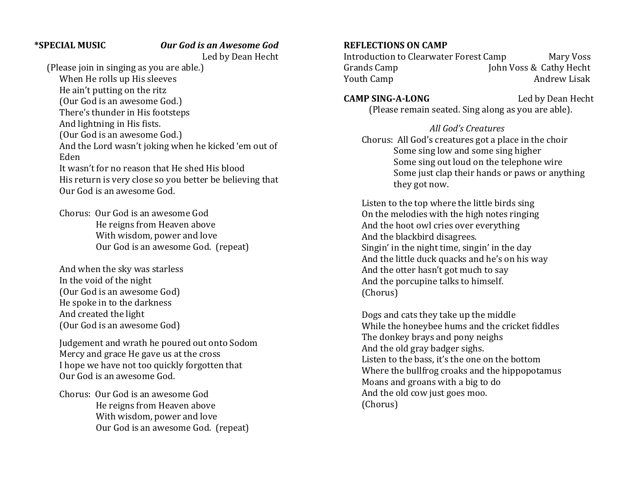#### **\*SPECIAL MUSIC** *Our God is an Awesome God*

Led by Dean Hecht

(Please join in singing as you are able.)

When He rolls up His sleeves He ain't putting on the ritz (Our God is an awesome God.) There's thunder in His footsteps

And lightning in His fists.

(Our God is an awesome God.)

And the Lord wasn't joking when he kicked 'em out of Eden

It wasn't for no reason that He shed His blood His return is very close so you better be believing that Our God is an awesome God.

Chorus: Our God is an awesome God He reigns from Heaven above With wisdom, power and love Our God is an awesome God. (repeat)

And when the sky was starless In the void of the night (Our God is an awesome God) He spoke in to the darkness And created the light (Our God is an awesome God)

Judgement and wrath he poured out onto Sodom Mercy and grace He gave us at the cross I hope we have not too quickly forgotten that Our God is an awesome God.

Chorus: Our God is an awesome God He reigns from Heaven above With wisdom, power and love Our God is an awesome God. (repeat)

#### **REFLECTIONS ON CAMP**

Introduction to Clearwater Forest Camp Mary Voss Grands Camp John Voss & Cathy Hecht Youth Camp **Andrew Lisak** Andrew Lisak

**CAMP SING-A-LONG** Led by Dean Hecht (Please remain seated. Sing along as you are able).

 *All God's Creatures* Chorus: All God's creatures got a place in the choir Some sing low and some sing higher Some sing out loud on the telephone wire Some just clap their hands or paws or anything they got now.

Listen to the top where the little birds sing On the melodies with the high notes ringing And the hoot owl cries over everything And the blackbird disagrees. Singin' in the night time, singin' in the day And the little duck quacks and he's on his way And the otter hasn't got much to say And the porcupine talks to himself. (Chorus)

Dogs and cats they take up the middle While the honeybee hums and the cricket fiddles The donkey brays and pony neighs And the old gray badger sighs. Listen to the bass, it's the one on the bottom Where the bullfrog croaks and the hippopotamus Moans and groans with a big to do And the old cow just goes moo. (Chorus)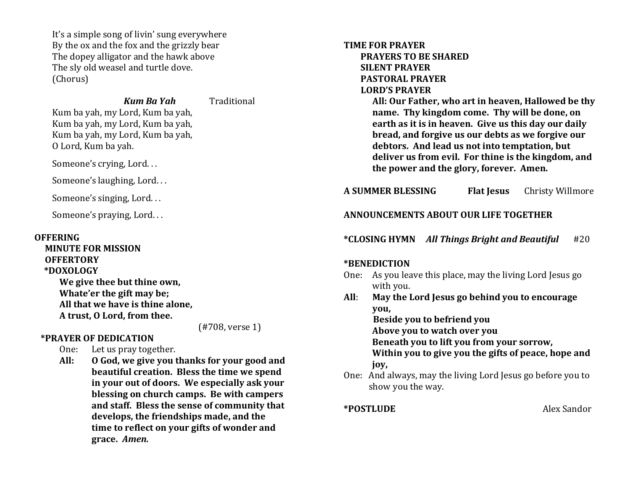It's a simple song of livin' sung everywhere By the ox and the fox and the grizzly bear The dopey alligator and the hawk above The sly old weasel and turtle dove. (Chorus)

#### *Kum Ba Yah* Traditional

Kum ba yah, my Lord, Kum ba yah, Kum ba yah, my Lord, Kum ba yah, Kum ba yah, my Lord, Kum ba yah, O Lord, Kum ba yah.

Someone's crying, Lord. . .

Someone's laughing, Lord. . .

Someone's singing, Lord. . .

Someone's praying, Lord. . .

#### **OFFERING**

 **MINUTE FOR MISSION OFFERTORY \*DOXOLOGY We give thee but thine own, Whate'er the gift may be; All that we have is thine alone, A trust, O Lord, from thee.**

(#708, verse 1)

## **\*PRAYER OF DEDICATION**

One: Let us pray together.

**All: O God, we give you thanks for your good and beautiful creation. Bless the time we spend in your out of doors. We especially ask your blessing on church camps. Be with campers and staff. Bless the sense of community that develops, the friendships made, and the time to reflect on your gifts of wonder and grace.** *Amen.*

**TIME FOR PRAYER PRAYERS TO BE SHARED SILENT PRAYER PASTORAL PRAYER LORD'S PRAYER**

> **All: Our Father, who art in heaven, Hallowed be thy name. Thy kingdom come. Thy will be done, on earth as it is in heaven. Give us this day our daily bread, and forgive us our debts as we forgive our debtors. And lead us not into temptation, but deliver us from evil. For thine is the kingdom, and the power and the glory, forever. Amen.**

# **A SUMMER BLESSING Flat Jesus** Christy Willmore

# **ANNOUNCEMENTS ABOUT OUR LIFE TOGETHER**

**\*CLOSING HYMN** *All Things Bright and Beautiful* #20

## **\*BENEDICTION**

- One: As you leave this place, may the living Lord Jesus go with you.
- **All**: **May the Lord Jesus go behind you to encourage you, Beside you to befriend you**

 **Above you to watch over you**

 **Beneath you to lift you from your sorrow,**

 **Within you to give you the gifts of peace, hope and joy,**

One: And always, may the living Lord Jesus go before you to show you the way.

**\*POSTLUDE** Alex Sandor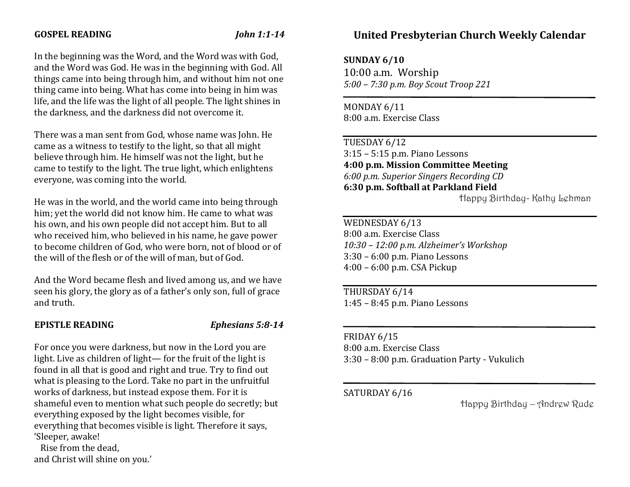#### **GOSPEL READING** *John 1:1-14*

In the beginning was the Word, and the Word was with God, and the Word was God. He was in the beginning with God. All things came into being through him, and without him not one thing came into being. What has come into being in him was life, and the life was the light of all people. The light shines in the darkness, and the darkness did not overcome it.

There was a man sent from God, whose name was John. He came as a witness to testify to the light, so that all might believe through him. He himself was not the light, but he came to testify to the light. The true light, which enlightens everyone, was coming into the world.

He was in the world, and the world came into being through him; yet the world did not know him. He came to what was his own, and his own people did not accept him. But to all who received him, who believed in his name, he gave power to become children of God, who were born, not of blood or of the will of the flesh or of the will of man, but of God.

And the Word became flesh and lived among us, and we have seen his glory, the glory as of a father's only son, full of grace and truth.

#### **EPISTLE READING** *Ephesians 5:8-14*

For once you were darkness, but now in the Lord you are light. Live as children of light— for the fruit of the light is found in all that is good and right and true. Try to find out what is pleasing to the Lord. Take no part in the unfruitful works of darkness, but instead expose them. For it is shameful even to mention what such people do secretly; but everything exposed by the light becomes visible, for everything that becomes visible is light. Therefore it says, 'Sleeper, awake!

 Rise from the dead, and Christ will shine on you.'

# **United Presbyterian Church Weekly Calendar**

**SUNDAY 6/10**

10:00 a.m. Worship *5:00 – 7:30 p.m. Boy Scout Troop 221*

MONDAY 6/11 8:00 a.m. Exercise Class

TUESDAY 6/12 3:15 – 5:15 p.m. Piano Lessons **4:00 p.m. Mission Committee Meeting** *6:00 p.m. Superior Singers Recording CD* **6:30 p.m. Softball at Parkland Field**

Happy Birthday- Kathy Lehman

WEDNESDAY 6/13 8:00 a.m. Exercise Class *10:30 – 12:00 p.m. Alzheimer's Workshop* 3:30 – 6:00 p.m. Piano Lessons 4:00 – 6:00 p.m. CSA Pickup

THURSDAY 6/14 1:45 – 8:45 p.m. Piano Lessons

# FRIDAY 6/15

8:00 a.m. Exercise Class 3:30 – 8:00 p.m. Graduation Party - Vukulich

l

# SATURDAY 6/16

Happy Birthday – Andrew Rude